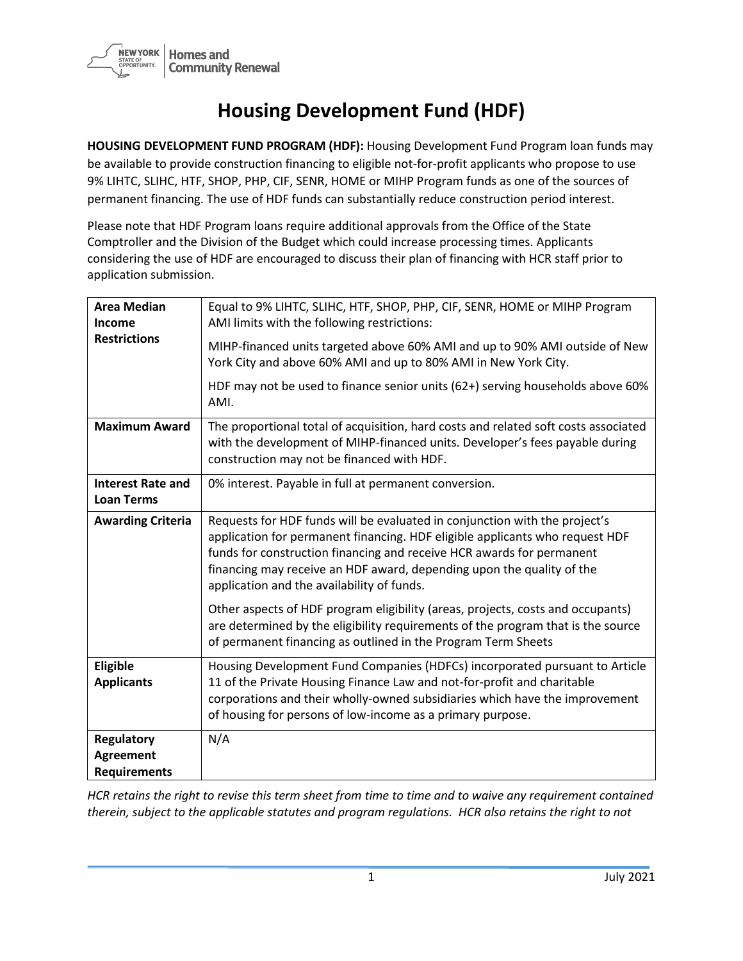

## **Housing Development Fund (HDF)**

**HOUSING DEVELOPMENT FUND PROGRAM (HDF):** Housing Development Fund Program loan funds may be available to provide construction financing to eligible not-for-profit applicants who propose to use 9% LIHTC, SLIHC, HTF, SHOP, PHP, CIF, SENR, HOME or MIHP Program funds as one of the sources of permanent financing. The use of HDF funds can substantially reduce construction period interest.

Please note that HDF Program loans require additional approvals from the Office of the State Comptroller and the Division of the Budget which could increase processing times. Applicants considering the use of HDF are encouraged to discuss their plan of financing with HCR staff prior to application submission.

| <b>Area Median</b><br>Income<br><b>Restrictions</b>   | Equal to 9% LIHTC, SLIHC, HTF, SHOP, PHP, CIF, SENR, HOME or MIHP Program<br>AMI limits with the following restrictions:<br>MIHP-financed units targeted above 60% AMI and up to 90% AMI outside of New<br>York City and above 60% AMI and up to 80% AMI in New York City.                                                                                 |
|-------------------------------------------------------|------------------------------------------------------------------------------------------------------------------------------------------------------------------------------------------------------------------------------------------------------------------------------------------------------------------------------------------------------------|
|                                                       | HDF may not be used to finance senior units (62+) serving households above 60%<br>AMI.                                                                                                                                                                                                                                                                     |
| <b>Maximum Award</b>                                  | The proportional total of acquisition, hard costs and related soft costs associated<br>with the development of MIHP-financed units. Developer's fees payable during<br>construction may not be financed with HDF.                                                                                                                                          |
| <b>Interest Rate and</b><br><b>Loan Terms</b>         | 0% interest. Payable in full at permanent conversion.                                                                                                                                                                                                                                                                                                      |
| <b>Awarding Criteria</b>                              | Requests for HDF funds will be evaluated in conjunction with the project's<br>application for permanent financing. HDF eligible applicants who request HDF<br>funds for construction financing and receive HCR awards for permanent<br>financing may receive an HDF award, depending upon the quality of the<br>application and the availability of funds. |
|                                                       | Other aspects of HDF program eligibility (areas, projects, costs and occupants)<br>are determined by the eligibility requirements of the program that is the source<br>of permanent financing as outlined in the Program Term Sheets                                                                                                                       |
| Eligible<br><b>Applicants</b>                         | Housing Development Fund Companies (HDFCs) incorporated pursuant to Article<br>11 of the Private Housing Finance Law and not-for-profit and charitable<br>corporations and their wholly-owned subsidiaries which have the improvement<br>of housing for persons of low-income as a primary purpose.                                                        |
| Regulatory<br><b>Agreement</b><br><b>Requirements</b> | N/A                                                                                                                                                                                                                                                                                                                                                        |

*HCR retains the right to revise this term sheet from time to time and to waive any requirement contained therein, subject to the applicable statutes and program regulations. HCR also retains the right to not*